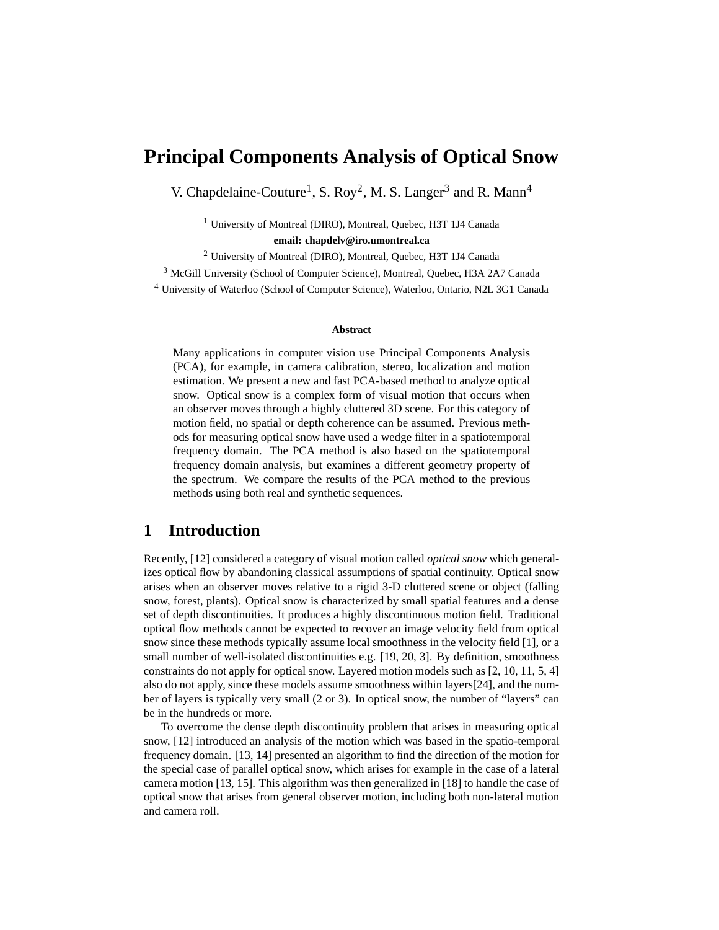# **Principal Components Analysis of Optical Snow**

V. Chapdelaine-Couture<sup>1</sup>, S. Roy<sup>2</sup>, M. S. Langer<sup>3</sup> and R. Mann<sup>4</sup>

<sup>1</sup> University of Montreal (DIRO), Montreal, Quebec, H3T 1J4 Canada

**email: chapdelv@iro.umontreal.ca**

<sup>2</sup> University of Montreal (DIRO), Montreal, Quebec, H3T 1J4 Canada

<sup>3</sup> McGill University (School of Computer Science), Montreal, Quebec, H3A 2A7 Canada

<sup>4</sup> University of Waterloo (School of Computer Science), Waterloo, Ontario, N2L 3G1 Canada

#### **Abstract**

Many applications in computer vision use Principal Components Analysis (PCA), for example, in camera calibration, stereo, localization and motion estimation. We present a new and fast PCA-based method to analyze optical snow. Optical snow is a complex form of visual motion that occurs when an observer moves through a highly cluttered 3D scene. For this category of motion field, no spatial or depth coherence can be assumed. Previous methods for measuring optical snow have used a wedge filter in a spatiotemporal frequency domain. The PCA method is also based on the spatiotemporal frequency domain analysis, but examines a different geometry property of the spectrum. We compare the results of the PCA method to the previous methods using both real and synthetic sequences.

## **1 Introduction**

Recently, [12] considered a category of visual motion called *optical snow* which generalizes optical flow by abandoning classical assumptions of spatial continuity. Optical snow arises when an observer moves relative to a rigid 3-D cluttered scene or object (falling snow, forest, plants). Optical snow is characterized by small spatial features and a dense set of depth discontinuities. It produces a highly discontinuous motion field. Traditional optical flow methods cannot be expected to recover an image velocity field from optical snow since these methods typically assume local smoothness in the velocity field [1], or a small number of well-isolated discontinuities e.g. [19, 20, 3]. By definition, smoothness constraints do not apply for optical snow. Layered motion models such as [2, 10, 11, 5, 4] also do not apply, since these models assume smoothness within layers[24], and the number of layers is typically very small (2 or 3). In optical snow, the number of "layers" can be in the hundreds or more.

To overcome the dense depth discontinuity problem that arises in measuring optical snow, [12] introduced an analysis of the motion which was based in the spatio-temporal frequency domain. [13, 14] presented an algorithm to find the direction of the motion for the special case of parallel optical snow, which arises for example in the case of a lateral camera motion [13, 15]. This algorithm was then generalized in [18] to handle the case of optical snow that arises from general observer motion, including both non-lateral motion and camera roll.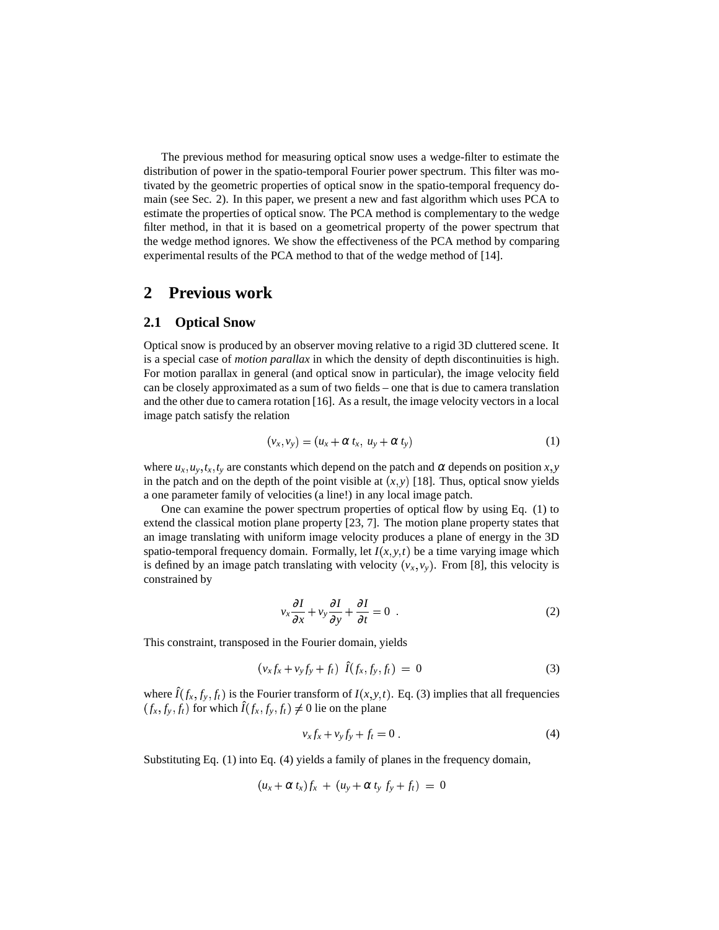The previous method for measuring optical snow uses a wedge-filter to estimate the distribution of power in the spatio-temporal Fourier power spectrum. This filter was motivated by the geometric properties of optical snow in the spatio-temporal frequency domain (see Sec. 2). In this paper, we present a new and fast algorithm which uses PCA to estimate the properties of optical snow. The PCA method is complementary to the wedge filter method, in that it is based on a geometrical property of the power spectrum that the wedge method ignores. We show the effectiveness of the PCA method by comparing experimental results of the PCA method to that of the wedge method of [14].

# **2 Previous work**

### **2.1 Optical Snow**

Optical snow is produced by an observer moving relative to a rigid 3D cluttered scene. It is a special case of *motion parallax* in which the density of depth discontinuities is high. For motion parallax in general (and optical snow in particular), the image velocity field can be closely approximated as a sum of two fields – one that is due to camera translation and the other due to camera rotation [16]. As a result, the image velocity vectors in a local image patch satisfy the relation

$$
(v_x, v_y) = (u_x + \alpha t_x, u_y + \alpha t_y) \tag{1}
$$

where  $u_x, u_y, t_x, t_y$  are constants which depend on the patch and  $\alpha$  depends on position *x*, *y* in the patch and on the depth of the point visible at  $(x, y)$  [18]. Thus, optical snow yields a one parameter family of velocities (a line!) in any local image patch.

One can examine the power spectrum properties of optical flow by using Eq. (1) to extend the classical motion plane property [23, 7]. The motion plane property states that an image translating with uniform image velocity produces a plane of energy in the 3D spatio-temporal frequency domain. Formally, let  $I(x, y, t)$  be a time varying image which is defined by an image patch translating with velocity  $(v_x, v_y)$ . From [8], this velocity is constrained by

$$
v_x \frac{\partial I}{\partial x} + v_y \frac{\partial I}{\partial y} + \frac{\partial I}{\partial t} = 0
$$
 (2)

This constraint, transposed in the Fourier domain, yields

$$
(v_x f_x + v_y f_y + f_t) \hat{I}(f_x, f_y, f_t) = 0 \tag{3}
$$

where  $\hat{I}(f_x, f_y, f_t)$  is the Fourier transform of  $I(x, y, t)$ . Eq. (3) implies that all frequencies  $(f_x, f_y, f_t)$  for which  $\hat{I}(f_x, f_y, f_t) \neq 0$  lie on the plane

$$
v_x f_x + v_y f_y + f_t = 0.
$$
\n<sup>(4)</sup>

Substituting Eq. (1) into Eq. (4) yields a family of planes in the frequency domain,

$$
(u_x + \alpha t_x)f_x + (u_y + \alpha t_y f_y + f_t) = 0
$$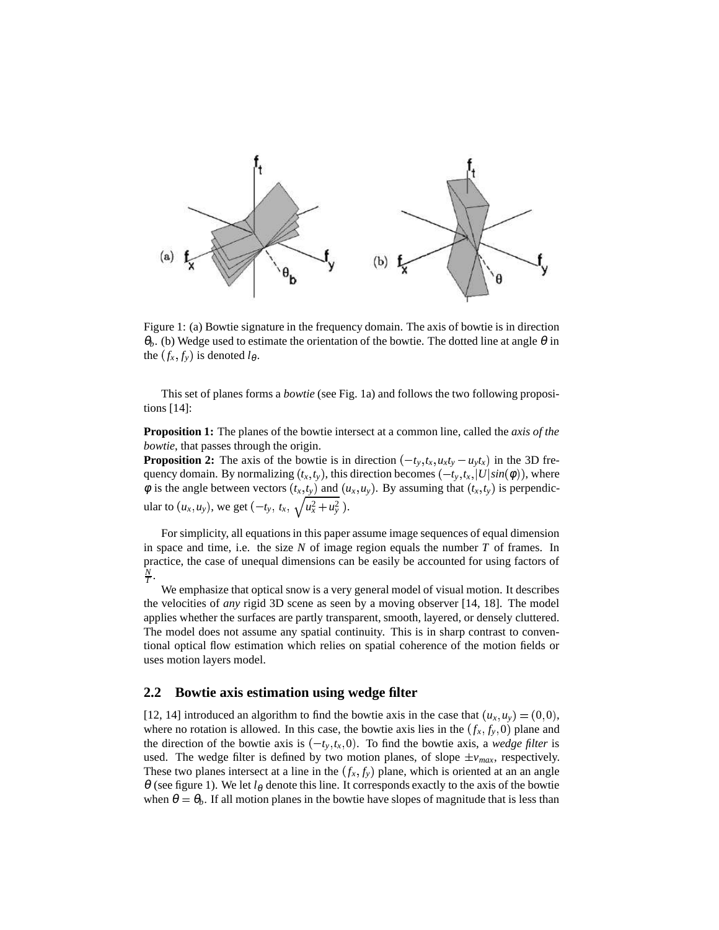

Figure 1: (a) Bowtie signature in the frequency domain. The axis of bowtie is in direction <sup>θ</sup>*b*. (b) Wedge used to estimate the orientation of the bowtie. The dotted line at angle <sup>θ</sup> in the  $(f_x, f_y)$  is denoted  $l_\theta$ .

This set of planes forms a *bowtie* (see Fig. 1a) and follows the two following propositions [14]:

**Proposition 1:** The planes of the bowtie intersect at a common line, called the *axis of the bowtie*, that passes through the origin.

**Proposition 2:** The axis of the bowtie is in direction  $(-t_y, t_x, u_x t_y - u_y t_x)$  in the 3D frequency domain. By normalizing  $(t_x, t_y)$ , this direction becomes  $(-t_y, t_x, |U|sin(\phi))$ , where  $\phi$  is the angle between vectors  $(t_x, t_y)$  and  $(u_x, u_y)$ . By assuming that  $(t_x, t_y)$  is perpendicular to  $(u_x, u_y)$ , we get  $(-t_y, t_x, \sqrt{u_x^2 + u_y^2})$ .

For simplicity, all equations in this paper assume image sequences of equal dimension in space and time, i.e. the size  $N$  of image region equals the number  $T$  of frames. In practice, the case of unequal dimensions can be easily be accounted for using factors of  $\frac{N}{T}$ .

We emphasize that optical snow is a very general model of visual motion. It describes the velocities of *any* rigid 3D scene as seen by a moving observer [14, 18]. The model applies whether the surfaces are partly transparent, smooth, layered, or densely cluttered. The model does not assume any spatial continuity. This is in sharp contrast to conventional optical flow estimation which relies on spatial coherence of the motion fields or uses motion layers model.

#### **2.2 Bowtie axis estimation using wedge filter**

[12, 14] introduced an algorithm to find the bowtie axis in the case that  $(u_x, u_y) = (0, 0)$ , where no rotation is allowed. In this case, the bowtie axis lies in the  $(f_x, f_y, 0)$  plane and the direction of the bowtie axis is  $(-t_y, t_x, 0)$ . To find the bowtie axis, a *wedge filter* is used. The wedge filter is defined by two motion planes, of slope  $\pm v_{max}$ , respectively. These two planes intersect at a line in the  $(f_x, f_y)$  plane, which is oriented at an an angle  $\theta$  (see figure 1). We let  $l_{\theta}$  denote this line. It corresponds exactly to the axis of the bowtie when  $\theta = \theta_b$ . If all motion planes in the bowtie have slopes of magnitude that is less than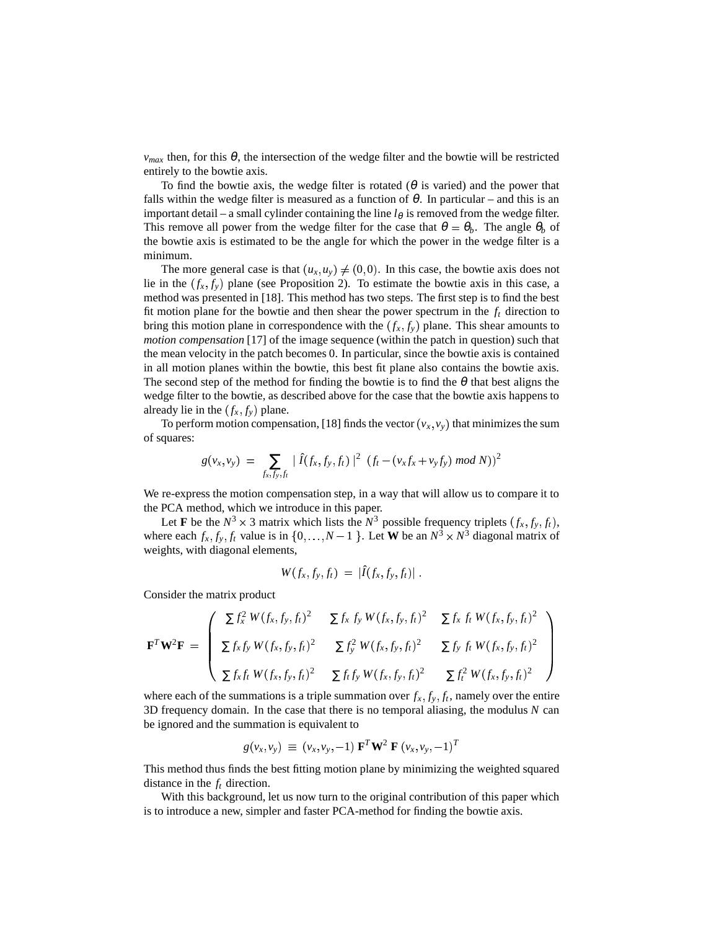$v_{max}$  then, for this  $\theta$ , the intersection of the wedge filter and the bowtie will be restricted entirely to the bowtie axis.

To find the bowtie axis, the wedge filter is rotated ( $\theta$  is varied) and the power that falls within the wedge filter is measured as a function of  $\theta$ . In particular – and this is an important detail – a small cylinder containing the line  $l_\theta$  is removed from the wedge filter. This remove all power from the wedge filter for the case that  $\theta = \theta_b$ . The angle  $\theta_b$  of the bowtie axis is estimated to be the angle for which the power in the wedge filter is a minimum.

The more general case is that  $(u_x, u_y) \neq (0, 0)$ . In t  $(0,0)$ . In this case, the bowtie axis does not lie in the  $(f_x, f_y)$  plane (see Proposition 2). To estimate the bowtie axis in this case, a method was presented in [18]. This method has two steps. The first step is to find the best fit motion plane for the bowtie and then shear the power spectrum in the *f<sup>t</sup>* direction to bring this motion plane in correspondence with the  $(f_x, f_y)$  plane. This shear amounts to *motion compensation* [17] of the image sequence (within the patch in question) such that the mean velocity in the patch becomes 0. In particular, since the bowtie axis is contained in all motion planes within the bowtie, this best fit plane also contains the bowtie axis. The second step of the method for finding the bowtie is to find the  $\theta$  that best aligns the wedge filter to the bowtie, as described above for the case that the bowtie axis happens to already lie in the  $(f_x, f_y)$  plane.

To perform motion compensation, [18] finds the vector  $(v_x, v_y)$  that minimizes the sum of squares:

$$
g(v_x, v_y) = \sum_{f_x, f_y, f_t} |\hat{I}(f_x, f_y, f_t)|^2 (f_t - (v_x f_x + v_y f_y) \mod N))^2
$$

We re-express the motion compensation step, in a way that will allow us to compare it to the PCA method, which we introduce in this paper.

Let **F** be the  $N^3 \times 3$  matrix which lists the  $N^3$  possible frequency triplets  $(f_x, f_y, f_t)$ , where each  $f_x$ ,  $f_y$ ,  $f_t$  value is in  $\{0, \ldots, N-1\}$ . Let **W** be an  $N^3 \times N^3$  diagonal matrix of weights, with diagonal elements,

$$
W(f_x, f_y, f_t) = |\hat{I}(f_x, f_y, f_t)|.
$$

Consider the matrix product

$$
\mathbf{F}^T \mathbf{W}^2 \mathbf{F} = \begin{pmatrix} \Sigma f_x^2 W(f_x, f_y, f_t)^2 & \Sigma f_x f_y W(f_x, f_y, f_t)^2 & \Sigma f_x f_t W(f_x, f_y, f_t)^2 \\ \Sigma f_x f_y W(f_x, f_y, f_t)^2 & \Sigma f_y^2 W(f_x, f_y, f_t)^2 & \Sigma f_y f_t W(f_x, f_y, f_t)^2 \\ \Sigma f_x f_t W(f_x, f_y, f_t)^2 & \Sigma f_t f_y W(f_x, f_y, f_t)^2 & \Sigma f_t^2 W(f_x, f_y, f_t)^2 \end{pmatrix}
$$

where each of the summations is a triple summation over  $f_x, f_y, f_t$ , namely over the entire 3D frequency domain. In the case that there is no temporal aliasing, the modulus *N* can be ignored and the summation is equivalent to

$$
g(v_x, v_y) \equiv (v_x, v_y, -1) \mathbf{F}^T \mathbf{W}^2 \mathbf{F} (v_x, v_y, -1)^T
$$

This method thus finds the best fitting motion plane by minimizing the weighted squared distance in the *f<sup>t</sup>* direction.

With this background, let us now turn to the original contribution of this paper which is to introduce a new, simpler and faster PCA-method for finding the bowtie axis.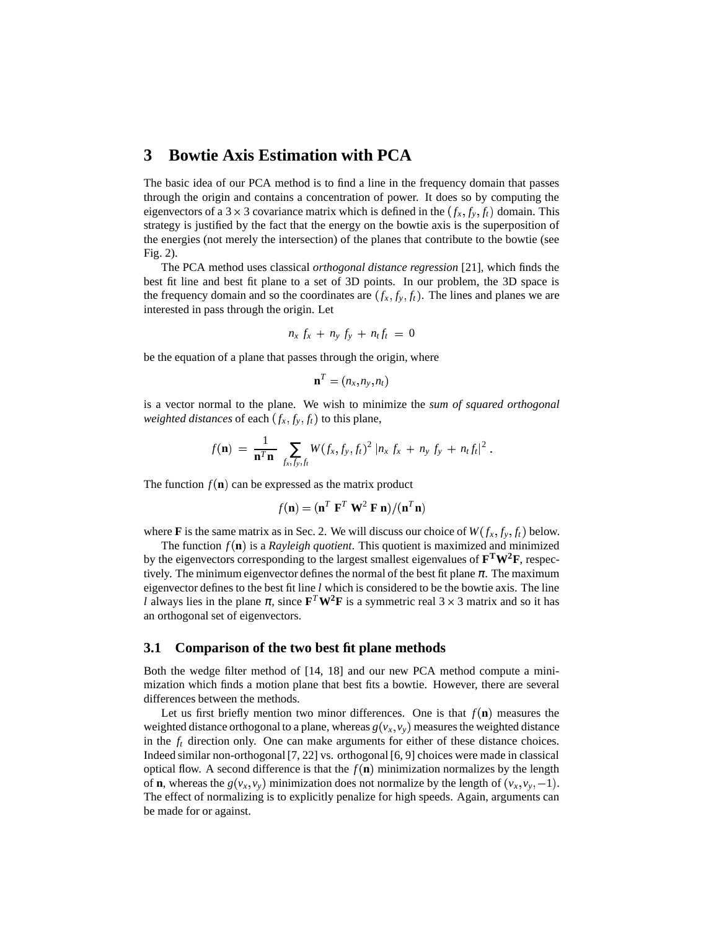# **3 Bowtie Axis Estimation with PCA**

The basic idea of our PCA method is to find a line in the frequency domain that passes through the origin and contains a concentration of power. It does so by computing the eigenvectors of a 3  $\times$  3 covariance matrix which is defined in the  $(f_x, f_y, f_t)$  domain. This strategy is justified by the fact that the energy on the bowtie axis is the superposition of the energies (not merely the intersection) of the planes that contribute to the bowtie (see Fig. 2).

The PCA method uses classical *orthogonal distance regression* [21], which finds the best fit line and best fit plane to a set of 3D points. In our problem, the 3D space is the frequency domain and so the coordinates are  $(f_x, f_y, f_t)$ . The lines and planes we are interested in pass through the origin. Let

$$
n_x f_x + n_y f_y + n_t f_t = 0
$$

be the equation of a plane that passes through the origin, where

$$
\mathbf{n}^T = (n_x, n_y, n_t)
$$

is a vector normal to the plane. We wish to minimize the *sum of squared orthogonal* weighted distances of each  $(f_x, f_y, f_t)$  to this plane,

$$
f(\mathbf{n}) = \frac{1}{\mathbf{n}^T \mathbf{n}} \sum_{f_x, f_y, f_t} W(f_x, f_y, f_t)^2 |n_x f_x + n_y f_y + n_t f_t|^2.
$$

The function  $f(\mathbf{n})$  can be expressed as the matrix product

$$
f(\mathbf{n}) = (\mathbf{n}^T \ \mathbf{F}^T \ \mathbf{W}^2 \ \mathbf{F} \ \mathbf{n})/(\mathbf{n}^T \mathbf{n})
$$

where **F** is the same matrix as in Sec. 2. We will discuss our choice of  $W(f_x, f_y, f_t)$  below.

The function  $f(\mathbf{n})$  is a *Rayleigh quotient*. This quotient is maximized and minimized by the eigenvectors corresponding to the largest smallest eigenvalues of **F <sup>T</sup>W2F**, respectively. The minimum eigenvector defines the normal of the best fit plane  $\pi$ . The maximum eigenvector defines to the best fit line *l* which is considered to be the bowtie axis. The line *l* always lies in the plane  $\pi$ , since  $\mathbf{F}^T \mathbf{W}^2 \mathbf{F}$  is a symmetric real 3  $\times$  3 matrix and so it has an orthogonal set of eigenvectors.

#### **3.1 Comparison of the two best fit plane methods**

Both the wedge filter method of [14, 18] and our new PCA method compute a minimization which finds a motion plane that best fits a bowtie. However, there are several differences between the methods.

Let us first briefly mention two minor differences. One is that  $f(n)$  measures the weighted distance orthogonal to a plane, whereas  $g(v_x, v_y)$  measures the weighted distance in the *f<sup>t</sup>* direction only. One can make arguments for either of these distance choices. Indeed similar non-orthogonal[7, 22] vs. orthogonal [6, 9] choices were made in classical optical flow. A second difference is that the  $f(n)$  minimization normalizes by the length of **n**, whereas the  $g(v_x, v_y)$  minimization does not normalize by the length of  $(v_x, v_y, -1)$ . . The effect of normalizing is to explicitly penalize for high speeds. Again, arguments can be made for or against.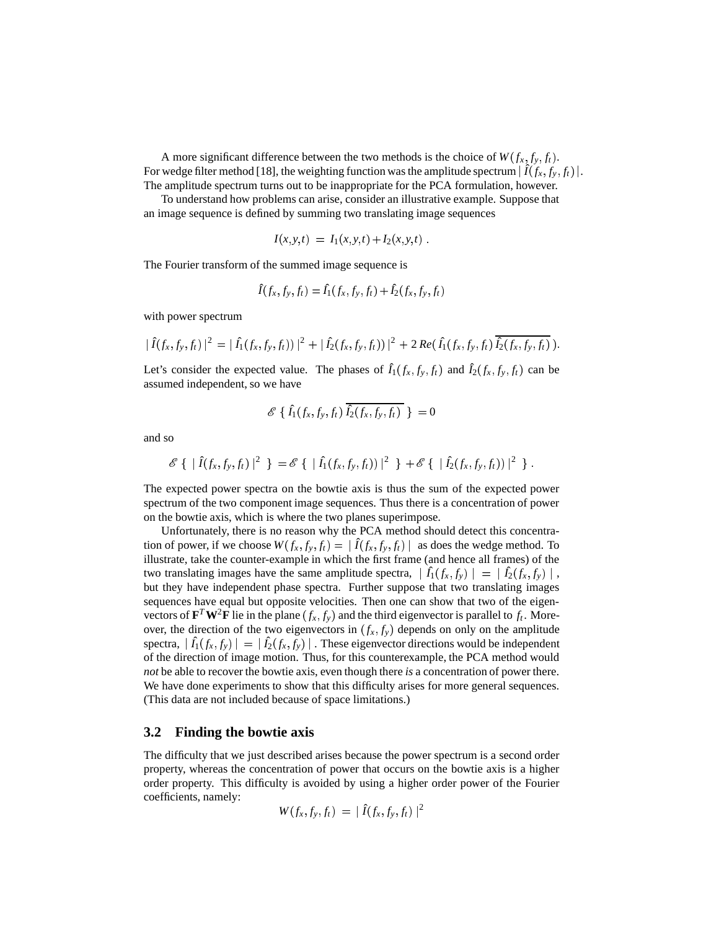A more significant difference between the two methods is the choice of  $W(f_x, f_y, f_t)$ . For wedge filter method [18], the weighting function was the amplitude spectrum  $|\hat{I}(f_x, f_y, f_t)|$ . The amplitude spectrum turns out to be inappropriate for the PCA formulation, however.

To understand how problems can arise, consider an illustrative example. Suppose that an image sequence is defined by summing two translating image sequences

$$
I(x, y, t) = I_1(x, y, t) + I_2(x, y, t).
$$

The Fourier transform of the summed image sequence is

$$
\hat{I}(f_x, f_y, f_t) = \hat{I}_1(f_x, f_y, f_t) + \hat{I}_2(f_x, f_y, f_t)
$$

with power spectrum

$$
|\hat{I}(f_x,f_y,f_t)|^2 = |\hat{I}_1(f_x,f_y,f_t)|^2 + |\hat{I}_2(f_x,f_y,f_t)|^2 + 2\Re(e(\hat{I}_1(f_x,f_y,f_t))\overline{\hat{I}_2(f_x,f_y,f_t)}).
$$

Let's consider the expected value. The phases of  $\hat{I}_1(f_x, f_y, f_t)$  and  $\hat{I}_2(f_x, f_y, f_t)$  can be assumed independent, so we have

$$
\mathscr{E}\,\{\,\hat{I}_{1}(f_{x},f_{y},f_{t})\,\overline{\hat{I}_{2}(f_{x},f_{y},f_{t})}\,\,\} \,=\,0
$$

and so

$$
\mathscr{E}\{\,|\,\hat{I}(f_x,f_y,f_t)|^2\,\,\} = \mathscr{E}\{\,|\,\hat{I_1}(f_x,f_y,f_t))|^2\,\,\}\, + \mathscr{E}\{\,|\,\hat{I_2}(f_x,f_y,f_t))|^2\,\,\}.
$$

The expected power spectra on the bowtie axis is thus the sum of the expected power spectrum of the two component image sequences. Thus there is a concentration of power on the bowtie axis, which is where the two planes superimpose.

Unfortunately, there is no reason why the PCA method should detect this concentration of power, if we choose  $W(f_x, f_y, f_t) = |\hat{I}(f_x, f_y, f_t)|$  as as does the wedge method. To illustrate, take the counter-example in which the first frame (and hence all frames) of the two translating images have the same amplitude spectra,  $|\hat{I}_1(f_x, f_y)| =$ -  $|\hat{I}_2(f_x,f_y)|$ , but they have independent phase spectra. Further suppose that two translating images sequences have equal but opposite velocities. Then one can show that two of the eigenvectors of  $\mathbf{F}^T \mathbf{W}^2 \mathbf{F}$  lie in the plane  $(f_x, f_y)$  and the third eigenvector is parallel to  $f_t$ . Moreover, the direction of the two eigenvectors in  $(f_x, f_y)$  depends on only on the amplitude  $\text{spectra}, \left| \hat{I}_1(f_x, f_y) \right| =$ -  $\sim$   $\sim$   $\sim$   $\sim$   $\sim$   $\sim$   $\sim$   $\sim$  $|\hat{I_2}(f_x,\hat{f_y})|$  . Th - . These eigenvector directions would be independent of the direction of image motion. Thus, for this counterexample, the PCA method would *not* be able to recover the bowtie axis, even though there *is* a concentration of power there. We have done experiments to show that this difficulty arises for more general sequences. (This data are not included because of space limitations.)

#### **3.2 Finding the bowtie axis**

The difficulty that we just described arises because the power spectrum is a second order property, whereas the concentration of power that occurs on the bowtie axis is a higher order property. This difficulty is avoided by using a higher order power of the Fourier coefficients, namely:

$$
W(f_x, f_y, f_t) = | \hat{I}(f_x, f_y, f_t) |^2
$$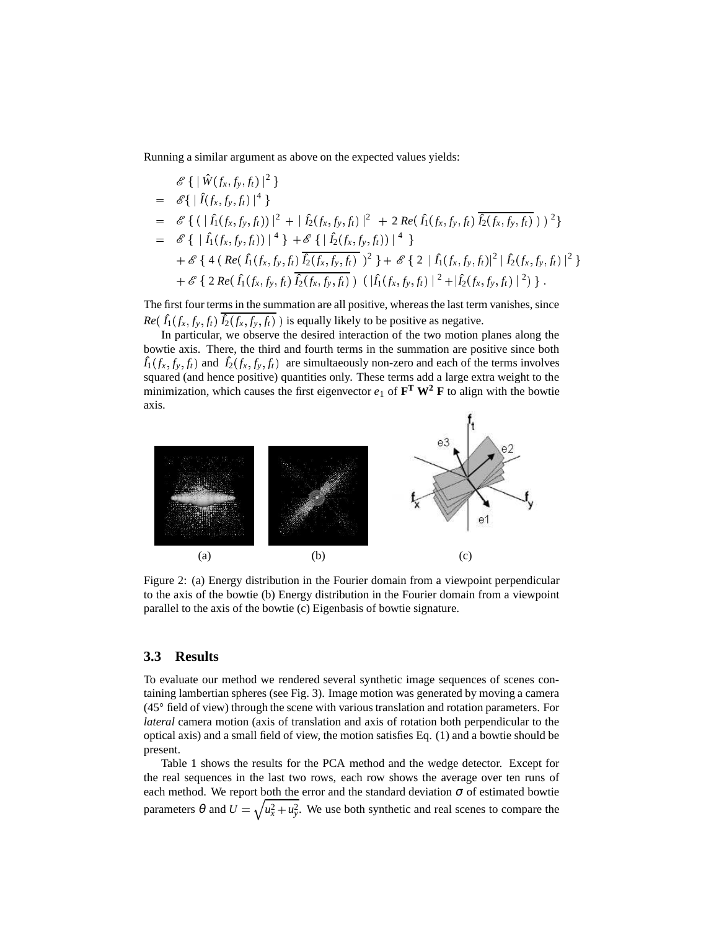Running a similar argument as above on the expected values yields:

$$
\mathscr{E}\left\{\left|\hat{W}(f_x, f_y, f_t)\right|^2\right\}\n= \mathscr{E}\left\{\left|\hat{I}(f_x, f_y, f_t)\right|^4\right\}\n= \mathscr{E}\left\{\left|\left(\hat{I}(f_x, f_y, f_t)\right)^2 + \left|\hat{I}_2(f_x, f_y, f_t)\right|^2 + 2\operatorname{Re}\left(\hat{I}_1(f_x, f_y, f_t)\right)\overline{\hat{I}_2(f_x, f_y, f_t)}\right)\right|^2\right\}\n= \mathscr{E}\left\{\left|\hat{I}_1(f_x, f_y, f_t)\right|^4\right\} + \mathscr{E}\left\{\left|\hat{I}_2(f_x, f_y, f_t)\right|^4\right\}\n+ \mathscr{E}\left\{\left|4\left(\operatorname{Re}\left(\hat{I}_1(f_x, f_y, f_t)\right) \overline{\hat{I}_2(f_x, f_y, f_t)}\right)^2\right\} + \mathscr{E}\left\{2\left|\hat{I}_1(f_x, f_y, f_t)\right|^2\right|\hat{I}_2(f_x, f_y, f_t)\right|^2\right\}\n+ \mathscr{E}\left\{\left|2\operatorname{Re}\left(\hat{I}_1(f_x, f_y, f_t)\right) \overline{\hat{I}_2(f_x, f_y, f_t)}\right\rangle\right(\left|\hat{I}_1(f_x, f_y, f_t)\right|^2 + \left|\hat{I}_2(f_x, f_y, f_t)\right|^2\right)\right\}.
$$

The first four terms in the summation are all positive, whereas the last term vanishes, since  $Re(\hat{I}_1(f_x, f_y, f_t) | \hat{I}_2(f_x, f_y, f_t))$  is equally likely to be positive as negative.

In particular, we observe the desired interaction of the two motion planes along the bowtie axis. There, the third and fourth terms in the summation are positive since both  $\hat{I}_1(f_x, f_y, f_t)$  and  $\hat{I}_2(f_x, f_y, f_t)$  are simultaeously non-zero and each of the terms involves squared (and hence positive) quantities only. These terms add a large extra weight to the minimization, which causes the first eigenvector  $e_1$  of  $\mathbf{F}^T \mathbf{W}^2 \mathbf{F}$  to align with the bowtie axis.



Figure 2: (a) Energy distribution in the Fourier domain from a viewpoint perpendicular to the axis of the bowtie (b) Energy distribution in the Fourier domain from a viewpoint parallel to the axis of the bowtie (c) Eigenbasis of bowtie signature.

#### **3.3 Results**

To evaluate our method we rendered several synthetic image sequences of scenes containing lambertian spheres (see Fig. 3). Image motion was generated by moving a camera  $(45^\circ$  field of view) through the scene with various translation and rotation parameters. For *lateral* camera motion (axis of translation and axis of rotation both perpendicular to the optical axis) and a small field of view, the motion satisfies Eq. (1) and a bowtie should be present.

Table 1 shows the results for the PCA method and the wedge detector. Except for the real sequences in the last two rows, each row shows the average over ten runs of each method. We report both the error and the standard deviation  $\sigma$  of estimated bowtie parameters  $\theta$  and  $U = \sqrt{u_x^2 + u_y^2}$ . We use both synthetic and real scenes to compare the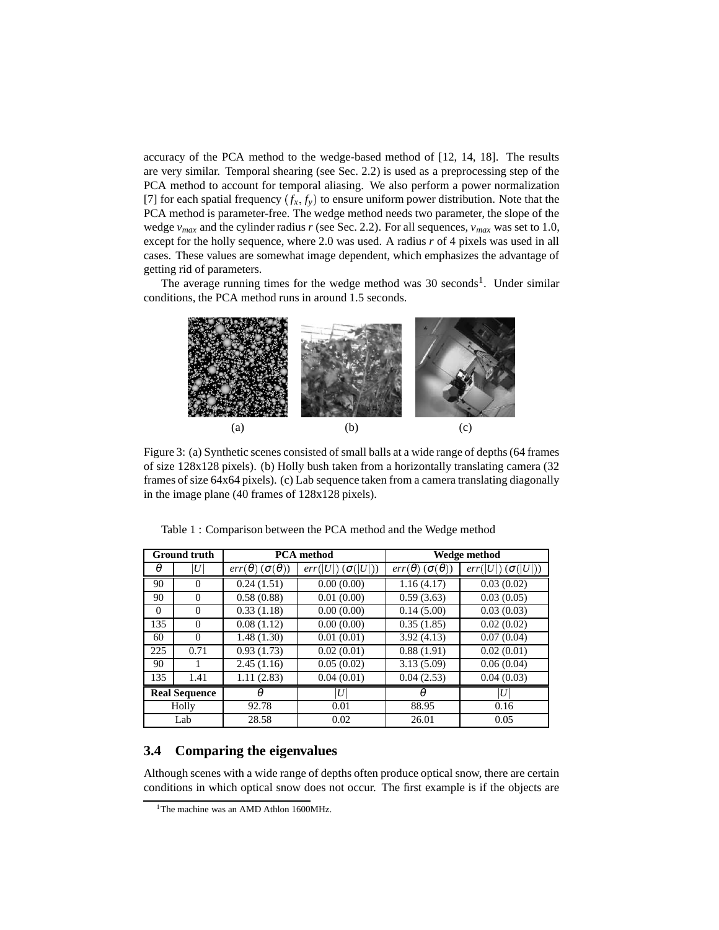accuracy of the PCA method to the wedge-based method of [12, 14, 18]. The results are very similar. Temporal shearing (see Sec. 2.2) is used as a preprocessing step of the PCA method to account for temporal aliasing. We also perform a power normalization [7] for each spatial frequency  $(f_x, f_y)$  to ensure uniform power distribution. Note that the PCA method is parameter-free. The wedge method needs two parameter, the slope of the wedge  $v_{max}$  and the cylinder radius *r* (see Sec. 2.2). For all sequences,  $v_{max}$  was set to 1.0, except for the holly sequence, where 2.0 was used. A radius *r* of 4 pixels was used in all cases. These values are somewhat image dependent, which emphasizes the advantage of getting rid of parameters.

The average running times for the wedge method was  $30$  seconds<sup>1</sup>. Under similar conditions, the PCA method runs in around 1.5 seconds.



Figure 3: (a) Synthetic scenes consisted of small balls at a wide range of depths(64 frames of size 128x128 pixels). (b) Holly bush taken from a horizontally translating camera (32 frames of size 64x64 pixels). (c) Lab sequence taken from a camera translating diagonally in the image plane (40 frames of 128x128 pixels).

| <b>Ground truth</b>  |          | <b>PCA</b> method                |                            | Wedge method                       |                           |
|----------------------|----------|----------------------------------|----------------------------|------------------------------------|---------------------------|
| θ                    | U        | $err(\theta)$ $(\sigma(\theta))$ | $err( U )$ $(\sigma( U ))$ | $err(\theta)$ ( $\sigma(\theta)$ ) | $(\sigma( U ))$<br>err  U |
| 90                   | $\Omega$ | 0.24(1.51)                       | 0.00(0.00)                 | 1.16(4.17)                         | 0.03(0.02)                |
| 90                   | $\Omega$ | 0.58(0.88)                       | 0.01(0.00)                 | 0.59(3.63)                         | 0.03(0.05)                |
| 0                    | $\Omega$ | 0.33(1.18)                       | 0.00(0.00)                 | 0.14(5.00)                         | 0.03(0.03)                |
| 135                  | $\Omega$ | 0.08(1.12)                       | 0.00(0.00)                 | 0.35(1.85)                         | 0.02(0.02)                |
| 60                   | $\Omega$ | 1.48(1.30)                       | 0.01(0.01)                 | 3.92(4.13)                         | 0.07(0.04)                |
| 225                  | 0.71     | 0.93(1.73)                       | 0.02(0.01)                 | 0.88(1.91)                         | 0.02(0.01)                |
| 90                   |          | 2.45(1.16)                       | 0.05(0.02)                 | 3.13(5.09)                         | 0.06(0.04)                |
| 135                  | 1.41     | 1.11(2.83)                       | 0.04(0.01)                 | 0.04(2.53)                         | 0.04(0.03)                |
| <b>Real Sequence</b> |          | $\theta$                         | $\boldsymbol{U}$           | $\theta$                           | U                         |
| Holly                |          | 92.78                            | 0.01                       | 88.95                              | 0.16                      |
| Lab                  |          | 28.58                            | 0.02                       | 26.01                              | 0.05                      |

Table 1 : Comparison between the PCA method and the Wedge method

### **3.4 Comparing the eigenvalues**

Although scenes with a wide range of depths often produce optical snow, there are certain conditions in which optical snow does not occur. The first example is if the objects are

<sup>&</sup>lt;sup>1</sup>The machine was an AMD Athlon 1600MHz.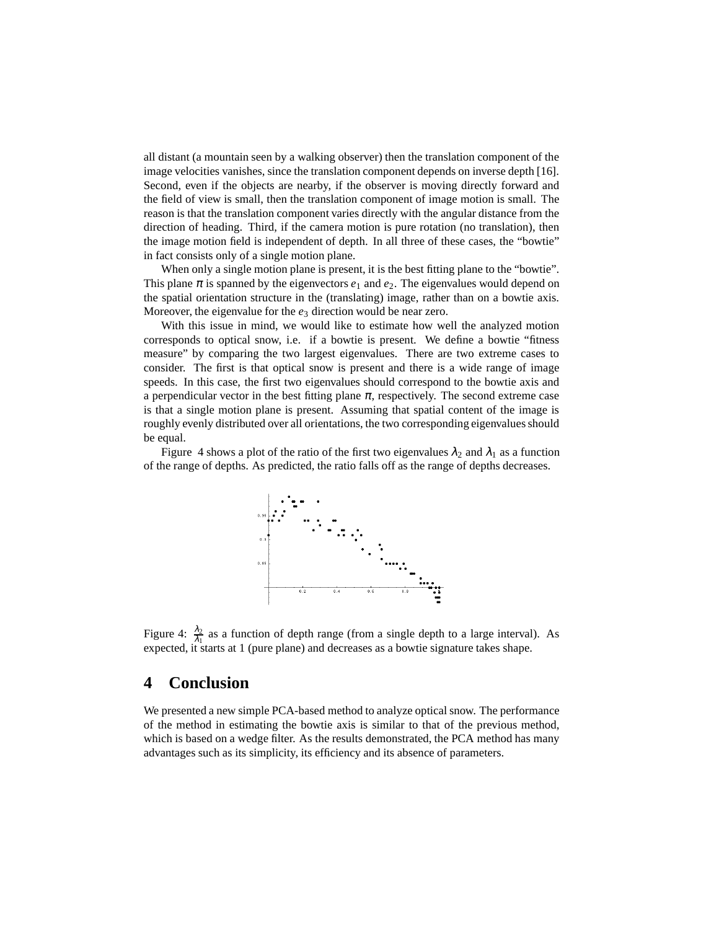all distant (a mountain seen by a walking observer) then the translation component of the image velocities vanishes, since the translation component depends on inverse depth [16]. Second, even if the objects are nearby, if the observer is moving directly forward and the field of view is small, then the translation component of image motion is small. The reason is that the translation component varies directly with the angular distance from the direction of heading. Third, if the camera motion is pure rotation (no translation), then the image motion field is independent of depth. In all three of these cases, the "bowtie" in fact consists only of a single motion plane.

When only a single motion plane is present, it is the best fitting plane to the "bowtie". This plane  $\pi$  is spanned by the eigenvectors  $e_1$  and  $e_2$ . The eigenvalues would depend on the spatial orientation structure in the (translating) image, rather than on a bowtie axis. Moreover, the eigenvalue for the  $e_3$  direction would be near zero.

With this issue in mind, we would like to estimate how well the analyzed motion corresponds to optical snow, i.e. if a bowtie is present. We define a bowtie "fitness measure" by comparing the two largest eigenvalues. There are two extreme cases to consider. The first is that optical snow is present and there is a wide range of image speeds. In this case, the first two eigenvalues should correspond to the bowtie axis and a perpendicular vector in the best fitting plane  $\pi$ , respectively. The second extreme case is that a single motion plane is present. Assuming that spatial content of the image is roughly evenly distributed over all orientations, the two corresponding eigenvalues should be equal.

Figure 4 shows a plot of the ratio of the first two eigenvalues  $\lambda_2$  and  $\lambda_1$  as a function of the range of depths. As predicted, the ratio falls off as the range of depths decreases.



Figure 4:  $\frac{\lambda_2}{\lambda_1}$  as a function of depth range (from a single depth to a large interval). As expected, it starts at 1 (pure plane) and decreases as a bowtie signature takes shape.

### **4 Conclusion**

We presented a new simple PCA-based method to analyze optical snow. The performance of the method in estimating the bowtie axis is similar to that of the previous method, which is based on a wedge filter. As the results demonstrated, the PCA method has many advantages such as its simplicity, its efficiency and its absence of parameters.